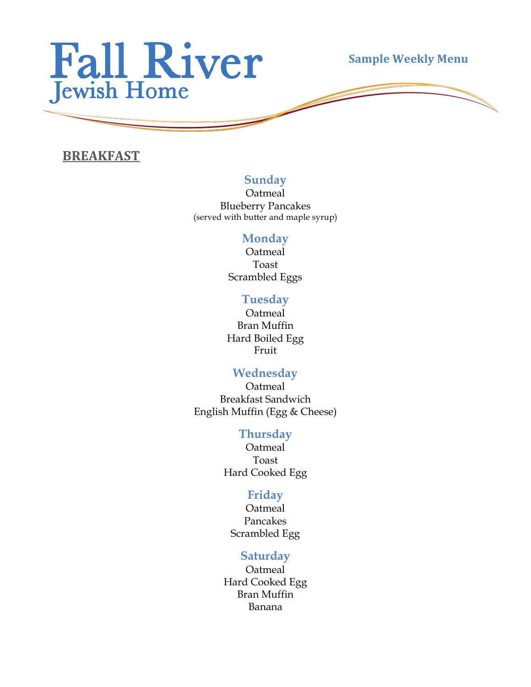

**Sample Weekly Menu** 

### **BREAKFAST**

#### **Sunday**

Oatmeal Blueberry Pancakes (served with butter and maple syrup)

#### **Monday**

Oatmeal Toast Scrambled Eggs

#### **Tuesday**

Oatmeal Bran Muffin Hard Boiled Egg Fruit

#### **Wednesday**

Oatmeal Breakfast Sandwich English Muffin (Egg & Cheese)

#### **Thursday**

Oatmeal Toast Hard Cooked Egg

#### **Friday**

Oatmeal Pancakes Scrambled Egg

#### **Saturday**

Oatmeal Hard Cooked Egg Bran Muffin Banana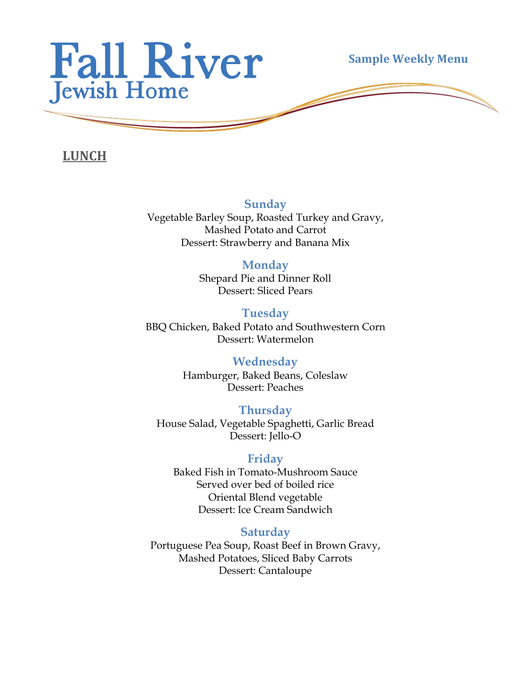

**Sample Weekly Menu** 

**LUNCH**

**Sunday**

Vegetable Barley Soup, Roasted Turkey and Gravy, Mashed Potato and Carrot Dessert: Strawberry and Banana Mix

### **Monday**

Shepard Pie and Dinner Roll Dessert: Sliced Pears

#### **Tuesday** BBQ Chicken, Baked Potato and Southwestern Corn Dessert: Watermelon

**Wednesday** Hamburger, Baked Beans, Coleslaw Dessert: Peaches

**Thursday** House Salad, Vegetable Spaghetti, Garlic Bread Dessert: Jello-O

# **Friday**

Baked Fish in Tomato-Mushroom Sauce Served over bed of boiled rice Oriental Blend vegetable Dessert: Ice Cream Sandwich

# **Saturday**

Portuguese Pea Soup, Roast Beef in Brown Gravy, Mashed Potatoes, Sliced Baby Carrots Dessert: Cantaloupe